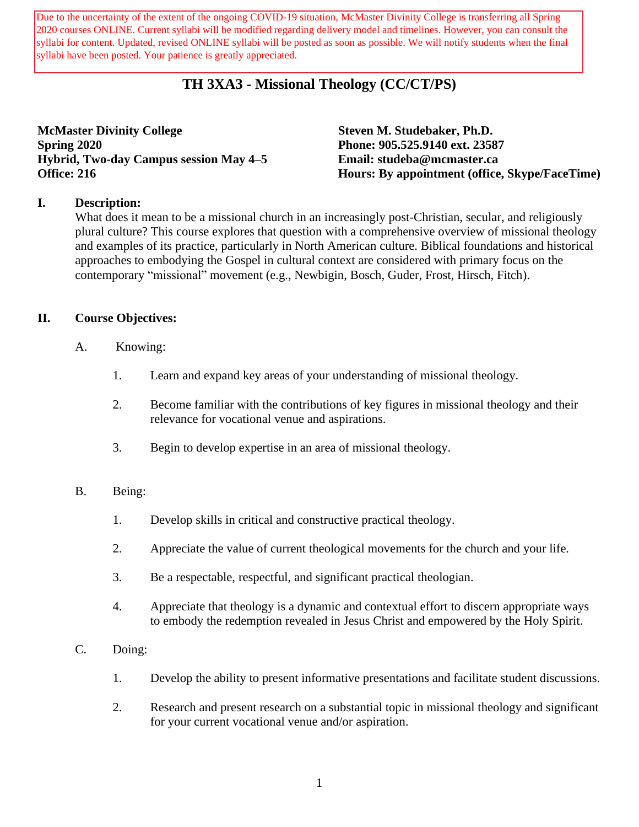syllabi for content. Updated, revised ONLINE syllabi will be posted as soon as possible. We will notify students when the final Due to the uncertainty of the extent of the ongoing COVID-19 situation, McMaster Divinity College is transferring all Spring 2020 courses ONLINE. Current syllabi will be modified regarding delivery model and timelines. However, you can consult the syllabi have been posted. Your patience is greatly appreciated.

# **TH 3XA3 - Missional Theology (CC/CT/PS)**

**McMaster Divinity College Steven M. Studebaker, Ph.D. Spring 2020 Phone: 905.525.9140 ext. 23587 Hybrid, Two-day Campus session May 4–5 Email: studeba@mcmaster.ca**

**Office: 216 Hours: By appointment (office, Skype/FaceTime)**

### **I. Description:**

What does it mean to be a missional church in an increasingly post-Christian, secular, and religiously plural culture? This course explores that question with a comprehensive overview of missional theology and examples of its practice, particularly in North American culture. Biblical foundations and historical approaches to embodying the Gospel in cultural context are considered with primary focus on the contemporary "missional" movement (e.g., Newbigin, Bosch, Guder, Frost, Hirsch, Fitch).

### **II. Course Objectives:**

- A. Knowing:
	- 1. Learn and expand key areas of your understanding of missional theology.
	- 2. Become familiar with the contributions of key figures in missional theology and their relevance for vocational venue and aspirations.
	- 3. Begin to develop expertise in an area of missional theology.

### B. Being:

- 1. Develop skills in critical and constructive practical theology.
- 2. Appreciate the value of current theological movements for the church and your life.
- 3. Be a respectable, respectful, and significant practical theologian.
- 4. Appreciate that theology is a dynamic and contextual effort to discern appropriate ways to embody the redemption revealed in Jesus Christ and empowered by the Holy Spirit.
- C. Doing:
	- 1. Develop the ability to present informative presentations and facilitate student discussions.
	- 2. Research and present research on a substantial topic in missional theology and significant for your current vocational venue and/or aspiration.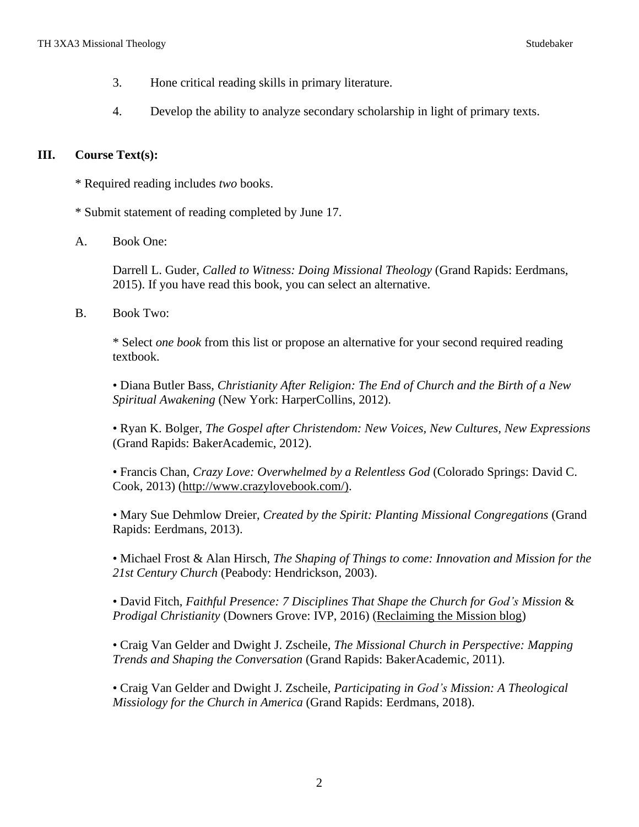- 3. Hone critical reading skills in primary literature.
- 4. Develop the ability to analyze secondary scholarship in light of primary texts.

### **III. Course Text(s):**

- \* Required reading includes *two* books.
- \* Submit statement of reading completed by June 17.
- A. Book One:

Darrell L. Guder, *Called to Witness: Doing Missional Theology* (Grand Rapids: Eerdmans, 2015). If you have read this book, you can select an alternative.

B. Book Two:

\* Select *one book* from this list or propose an alternative for your second required reading textbook.

• Diana Butler Bass, *Christianity After Religion: The End of Church and the Birth of a New Spiritual Awakening* (New York: HarperCollins, 2012).

• Ryan K. Bolger, *The Gospel after Christendom: New Voices, New Cultures, New Expressions* (Grand Rapids: BakerAcademic, 2012).

• Francis Chan, *Crazy Love: Overwhelmed by a Relentless God* (Colorado Springs: David C. Cook, 2013) [\(http://www.crazylovebook.com/\).](http://www.crazylovebook.com/))

• Mary Sue Dehmlow Dreier, *Created by the Spirit: Planting Missional Congregations* (Grand Rapids: Eerdmans, 2013).

• Michael Frost & Alan Hirsch, *The Shaping of Things to come: Innovation and Mission for the 21st Century Church* (Peabody: Hendrickson, 2003).

• David Fitch, *Faithful Presence: 7 Disciplines That Shape the Church for God's Mission* & *Prodigal Christianity* (Downers Grove: IVP, 2016) [\(Reclaiming](http://www.reclaimingthemission.com/) the Mission blog)

• Craig Van Gelder and Dwight J. Zscheile, *The Missional Church in Perspective: Mapping Trends and Shaping the Conversation* (Grand Rapids: BakerAcademic, 2011).

• Craig Van Gelder and Dwight J. Zscheile, *Participating in God's Mission: A Theological Missiology for the Church in America* (Grand Rapids: Eerdmans, 2018).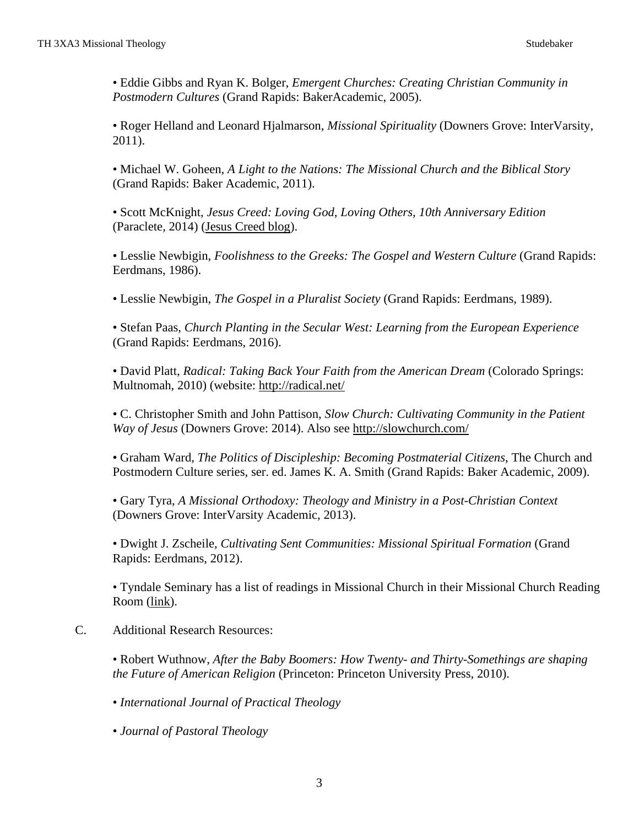• Eddie Gibbs and Ryan K. Bolger, *Emergent Churches: Creating Christian Community in Postmodern Cultures* (Grand Rapids: BakerAcademic, 2005).

• Roger Helland and Leonard Hjalmarson, *Missional Spirituality* (Downers Grove: InterVarsity, 2011).

• Michael W. Goheen, *A Light to the Nations: The Missional Church and the Biblical Story* (Grand Rapids: Baker Academic, 2011).

• Scott McKnight, *Jesus Creed: Loving God, Loving Others, 10th Anniversary Edition* (Paraclete, 2014) (Jesus [Creed](http://www.patheos.com/blogs/jesuscreed/) blog).

• Lesslie Newbigin, *Foolishness to the Greeks: The Gospel and Western Culture* (Grand Rapids: Eerdmans, 1986).

• Lesslie Newbigin, *The Gospel in a Pluralist Society* (Grand Rapids: Eerdmans, 1989).

• Stefan Paas, *Church Planting in the Secular West: Learning from the European Experience* (Grand Rapids: Eerdmans, 2016).

• David Platt, *Radical: Taking Back Your Faith from the American Dream* (Colorado Springs: Multnomah, 2010) (website: <http://radical.net/>

• C. Christopher Smith and John Pattison, *Slow Church: Cultivating Community in the Patient Way of Jesus* (Downers Grove: 2014). Also see <http://slowchurch.com/>

• Graham Ward, *The Politics of Discipleship: Becoming Postmaterial Citizens*, The Church and Postmodern Culture series, ser. ed. James K. A. Smith (Grand Rapids: Baker Academic, 2009).

• Gary Tyra, *A Missional Orthodoxy: Theology and Ministry in a Post-Christian Context* (Downers Grove: InterVarsity Academic, 2013).

• Dwight J. Zscheile, *Cultivating Sent Communities: Missional Spiritual Formation* (Grand Rapids: Eerdmans, 2012).

• Tyndale Seminary has a list of readings in Missional Church in their Missional Church Reading Room [\(link\)](http://www.tyndale.ca/seminary/mtsmodular/reading-rooms/missional).

### C. Additional Research Resources:

• Robert Wuthnow, *After the Baby Boomers: How Twenty- and Thirty-Somethings are shaping the Future of American Religion* (Princeton: Princeton University Press, 2010).

• *International Journal of Practical Theology*

• *Journal of Pastoral Theology*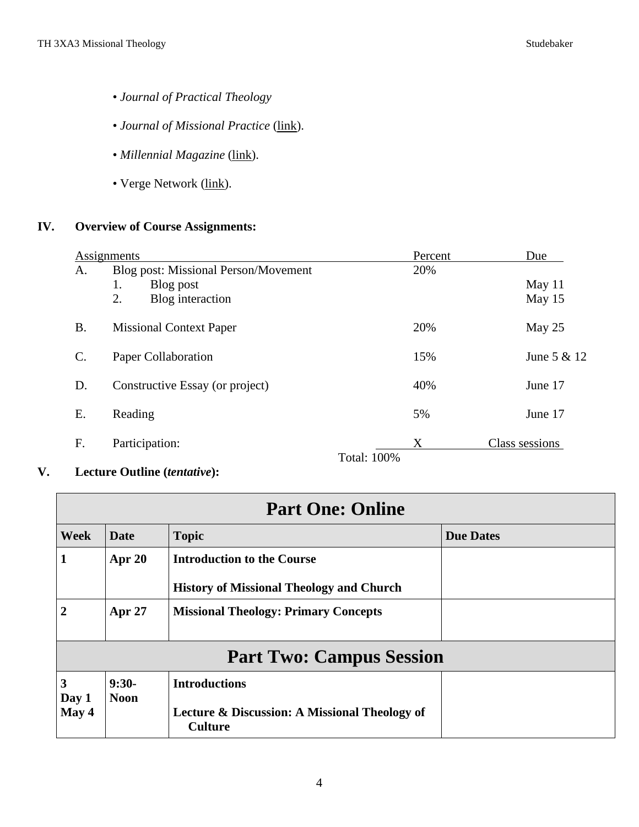- *Journal of Practical Theology*
- *Journal of Missional Practice* [\(link\)](http://journalofmissionalpractice.com/category/theology/).
- *Millennial Magazine* [\(link\)](https://millennialmagazine.com/).
- Verge Network [\(link\)](https://www.vergenetwork.org/about/).

# **IV. Overview of Course Assignments:**

|                | Assignments                                 | Percent                 | Due            |
|----------------|---------------------------------------------|-------------------------|----------------|
| A.             | <b>Blog post: Missional Person/Movement</b> | 20%                     |                |
|                | Blog post<br>1.                             |                         | May 11         |
|                | 2.<br>Blog interaction                      |                         | May 15         |
| <b>B.</b>      | <b>Missional Context Paper</b>              | 20%                     | May 25         |
| $\mathsf{C}$ . | Paper Collaboration                         | 15%                     | June 5 & 12    |
| D.             | Constructive Essay (or project)             | 40%                     | June 17        |
| Ε.             | Reading                                     | 5%                      | June 17        |
| F.             | Participation:                              | X<br><b>Total: 100%</b> | Class sessions |

**V. Lecture Outline (***tentative***):**

| <b>Part One: Online</b>         |                        |                                                                                      |                  |  |
|---------------------------------|------------------------|--------------------------------------------------------------------------------------|------------------|--|
| <b>Week</b>                     | Date                   | <b>Topic</b>                                                                         | <b>Due Dates</b> |  |
|                                 | Apr $20$               | <b>Introduction to the Course</b><br><b>History of Missional Theology and Church</b> |                  |  |
| $\overline{2}$                  | <b>Apr 27</b>          | <b>Missional Theology: Primary Concepts</b>                                          |                  |  |
| <b>Part Two: Campus Session</b> |                        |                                                                                      |                  |  |
| 3<br>Day 1                      | $9:30-$<br><b>Noon</b> | <b>Introductions</b>                                                                 |                  |  |
| May 4                           |                        | Lecture & Discussion: A Missional Theology of<br><b>Culture</b>                      |                  |  |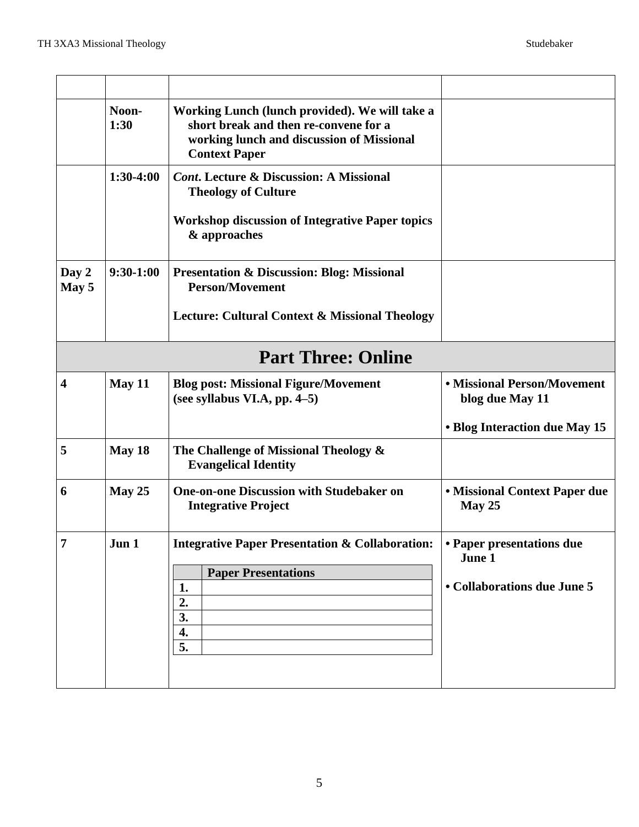|                | Noon-<br>1:30 | Working Lunch (lunch provided). We will take a<br>short break and then re-convene for a<br>working lunch and discussion of Missional<br><b>Context Paper</b> |                                                                                 |
|----------------|---------------|--------------------------------------------------------------------------------------------------------------------------------------------------------------|---------------------------------------------------------------------------------|
|                | $1:30-4:00$   | <b>Cont.</b> Lecture & Discussion: A Missional<br><b>Theology of Culture</b><br><b>Workshop discussion of Integrative Paper topics</b><br>& approaches       |                                                                                 |
| Day 2<br>May 5 | $9:30-1:00$   | <b>Presentation &amp; Discussion: Blog: Missional</b><br><b>Person/Movement</b><br><b>Lecture: Cultural Context &amp; Missional Theology</b>                 |                                                                                 |
|                |               | <b>Part Three: Online</b>                                                                                                                                    |                                                                                 |
| 4              | May 11        | <b>Blog post: Missional Figure/Movement</b><br>(see syllabus VI.A, pp. $4-5$ )                                                                               | • Missional Person/Movement<br>blog due May 11<br>• Blog Interaction due May 15 |
| 5              | May 18        | The Challenge of Missional Theology &<br><b>Evangelical Identity</b>                                                                                         |                                                                                 |
| 6              | May $25$      | <b>One-on-one Discussion with Studebaker on</b><br><b>Integrative Project</b>                                                                                | <b>• Missional Context Paper due</b><br>May 25                                  |
| $\overline{7}$ | Jun 1         | <b>Integrative Paper Presentation &amp; Collaboration:</b><br><b>Paper Presentations</b><br>1.<br>2.<br>3.<br>4.<br>5.                                       | • Paper presentations due<br>June 1<br>• Collaborations due June 5              |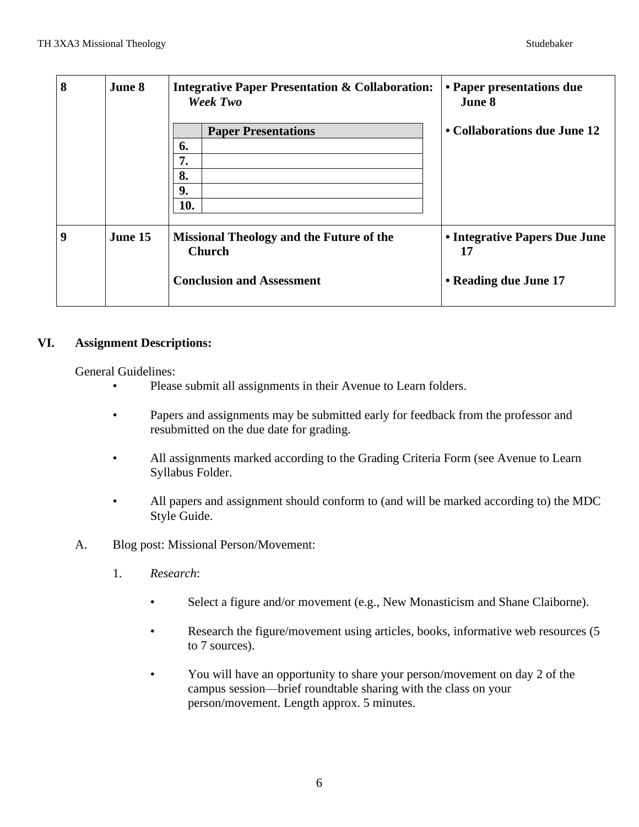| 8 | <b>June 8</b> | <b>Integrative Paper Presentation &amp; Collaboration:</b><br>Week Two                               | • Paper presentations due<br>June 8                          |
|---|---------------|------------------------------------------------------------------------------------------------------|--------------------------------------------------------------|
|   |               | <b>Paper Presentations</b><br>6.<br>7.<br>8.<br>9.<br>10.                                            | • Collaborations due June 12                                 |
| 9 | June 15       | <b>Missional Theology and the Future of the</b><br><b>Church</b><br><b>Conclusion and Assessment</b> | • Integrative Papers Due June<br>17<br>• Reading due June 17 |

### **VI. Assignment Descriptions:**

General Guidelines:

- Please submit all assignments in their Avenue to Learn folders.
- Papers and assignments may be submitted early for feedback from the professor and resubmitted on the due date for grading.
- All assignments marked according to the Grading Criteria Form (see Avenue to Learn Syllabus Folder.
- All papers and assignment should conform to (and will be marked according to) the MDC Style Guide.
- A. Blog post: Missional Person/Movement:
	- 1. *Research*:
		- Select a figure and/or movement (e.g., New Monasticism and Shane Claiborne).
		- Research the figure/movement using articles, books, informative web resources (5 to 7 sources).
		- You will have an opportunity to share your person/movement on day 2 of the campus session—brief roundtable sharing with the class on your person/movement. Length approx. 5 minutes.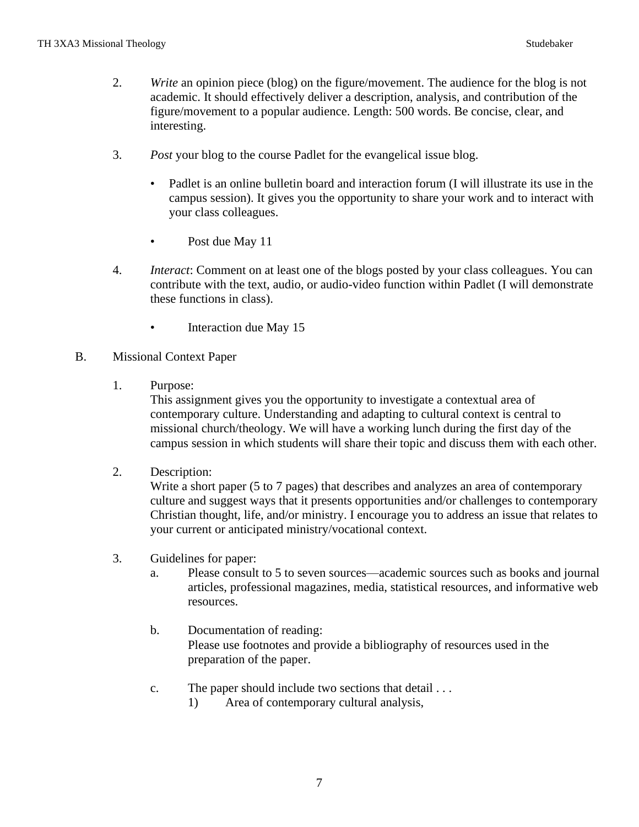- 2. *Write* an opinion piece (blog) on the figure/movement. The audience for the blog is not academic. It should effectively deliver a description, analysis, and contribution of the figure/movement to a popular audience. Length: 500 words. Be concise, clear, and interesting.
- 3. *Post* your blog to the course Padlet for the evangelical issue blog.
	- Padlet is an online bulletin board and interaction forum (I will illustrate its use in the campus session). It gives you the opportunity to share your work and to interact with your class colleagues.
	- Post due May 11
- 4. *Interact*: Comment on at least one of the blogs posted by your class colleagues. You can contribute with the text, audio, or audio-video function within Padlet (I will demonstrate these functions in class).
	- Interaction due May 15
- B. Missional Context Paper
	- 1. Purpose:

This assignment gives you the opportunity to investigate a contextual area of contemporary culture. Understanding and adapting to cultural context is central to missional church/theology. We will have a working lunch during the first day of the campus session in which students will share their topic and discuss them with each other.

2. Description:

Write a short paper (5 to 7 pages) that describes and analyzes an area of contemporary culture and suggest ways that it presents opportunities and/or challenges to contemporary Christian thought, life, and/or ministry. I encourage you to address an issue that relates to your current or anticipated ministry/vocational context.

- 3. Guidelines for paper:
	- a. Please consult to 5 to seven sources—academic sources such as books and journal articles, professional magazines, media, statistical resources, and informative web resources.
	- b. Documentation of reading: Please use footnotes and provide a bibliography of resources used in the preparation of the paper.
	- c. The paper should include two sections that detail . . .
		- 1) Area of contemporary cultural analysis,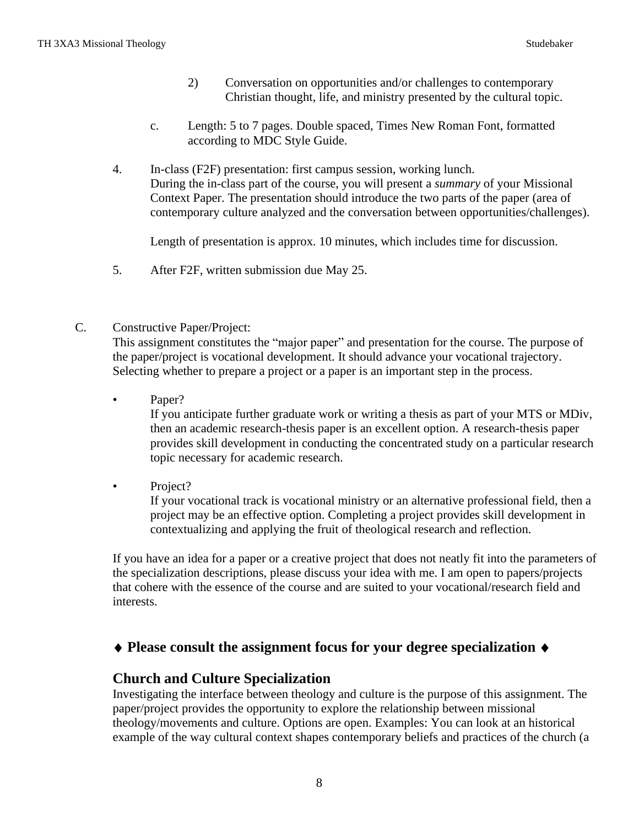- 2) Conversation on opportunities and/or challenges to contemporary Christian thought, life, and ministry presented by the cultural topic.
- c. Length: 5 to 7 pages. Double spaced, Times New Roman Font, formatted according to MDC Style Guide.
- 4. In-class (F2F) presentation: first campus session, working lunch. During the in-class part of the course, you will present a *summary* of your Missional Context Paper. The presentation should introduce the two parts of the paper (area of contemporary culture analyzed and the conversation between opportunities/challenges).

Length of presentation is approx. 10 minutes, which includes time for discussion.

- 5. After F2F, written submission due May 25.
- C. Constructive Paper/Project:

This assignment constitutes the "major paper" and presentation for the course. The purpose of the paper/project is vocational development. It should advance your vocational trajectory. Selecting whether to prepare a project or a paper is an important step in the process.

Paper?

If you anticipate further graduate work or writing a thesis as part of your MTS or MDiv, then an academic research-thesis paper is an excellent option. A research-thesis paper provides skill development in conducting the concentrated study on a particular research topic necessary for academic research.

• Project?

If your vocational track is vocational ministry or an alternative professional field, then a project may be an effective option. Completing a project provides skill development in contextualizing and applying the fruit of theological research and reflection.

If you have an idea for a paper or a creative project that does not neatly fit into the parameters of the specialization descriptions, please discuss your idea with me. I am open to papers/projects that cohere with the essence of the course and are suited to your vocational/research field and interests.

## **Please consult the assignment focus for your degree specialization**

### **Church and Culture Specialization**

Investigating the interface between theology and culture is the purpose of this assignment. The paper/project provides the opportunity to explore the relationship between missional theology/movements and culture. Options are open. Examples: You can look at an historical example of the way cultural context shapes contemporary beliefs and practices of the church (a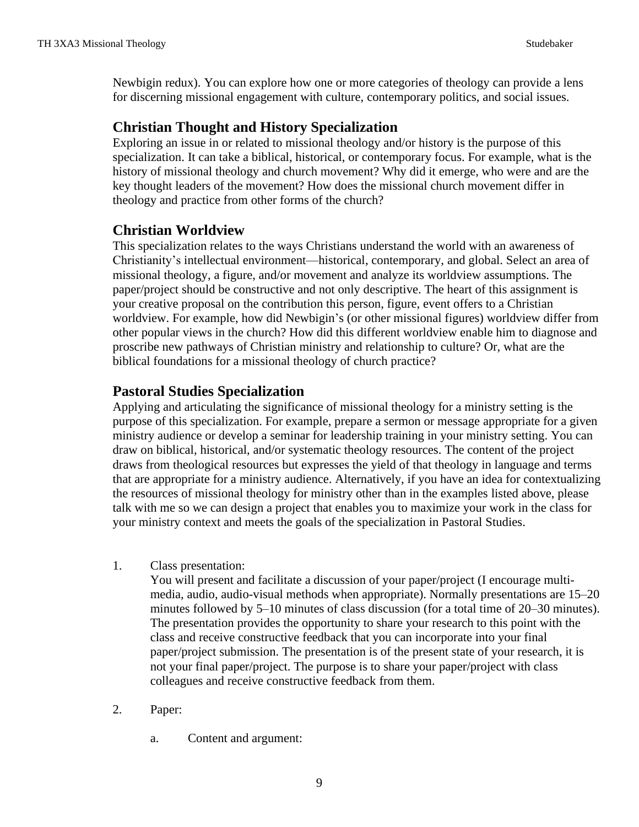Newbigin redux). You can explore how one or more categories of theology can provide a lens for discerning missional engagement with culture, contemporary politics, and social issues.

# **Christian Thought and History Specialization**

Exploring an issue in or related to missional theology and/or history is the purpose of this specialization. It can take a biblical, historical, or contemporary focus. For example, what is the history of missional theology and church movement? Why did it emerge, who were and are the key thought leaders of the movement? How does the missional church movement differ in theology and practice from other forms of the church?

# **Christian Worldview**

This specialization relates to the ways Christians understand the world with an awareness of Christianity's intellectual environment—historical, contemporary, and global. Select an area of missional theology, a figure, and/or movement and analyze its worldview assumptions. The paper/project should be constructive and not only descriptive. The heart of this assignment is your creative proposal on the contribution this person, figure, event offers to a Christian worldview. For example, how did Newbigin's (or other missional figures) worldview differ from other popular views in the church? How did this different worldview enable him to diagnose and proscribe new pathways of Christian ministry and relationship to culture? Or, what are the biblical foundations for a missional theology of church practice?

# **Pastoral Studies Specialization**

Applying and articulating the significance of missional theology for a ministry setting is the purpose of this specialization. For example, prepare a sermon or message appropriate for a given ministry audience or develop a seminar for leadership training in your ministry setting. You can draw on biblical, historical, and/or systematic theology resources. The content of the project draws from theological resources but expresses the yield of that theology in language and terms that are appropriate for a ministry audience. Alternatively, if you have an idea for contextualizing the resources of missional theology for ministry other than in the examples listed above, please talk with me so we can design a project that enables you to maximize your work in the class for your ministry context and meets the goals of the specialization in Pastoral Studies.

1. Class presentation:

You will present and facilitate a discussion of your paper/project (I encourage multimedia, audio, audio-visual methods when appropriate). Normally presentations are 15–20 minutes followed by 5–10 minutes of class discussion (for a total time of 20–30 minutes). The presentation provides the opportunity to share your research to this point with the class and receive constructive feedback that you can incorporate into your final paper/project submission. The presentation is of the present state of your research, it is not your final paper/project. The purpose is to share your paper/project with class colleagues and receive constructive feedback from them.

- 2. Paper:
	- a. Content and argument: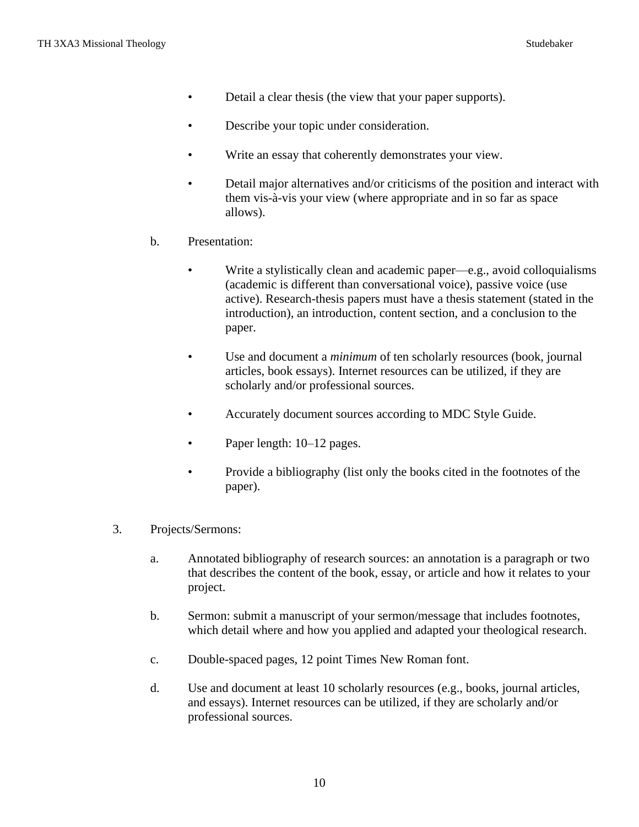- Detail a clear thesis (the view that your paper supports).
- Describe your topic under consideration.
- Write an essay that coherently demonstrates your view.
- Detail major alternatives and/or criticisms of the position and interact with them vis-à-vis your view (where appropriate and in so far as space allows).
- b. Presentation:
	- Write a stylistically clean and academic paper—e.g., avoid colloquialisms (academic is different than conversational voice), passive voice (use active). Research-thesis papers must have a thesis statement (stated in the introduction), an introduction, content section, and a conclusion to the paper.
	- Use and document a *minimum* of ten scholarly resources (book, journal articles, book essays). Internet resources can be utilized, if they are scholarly and/or professional sources.
	- Accurately document sources according to MDC Style Guide.
	- Paper length:  $10-12$  pages.
	- Provide a bibliography (list only the books cited in the footnotes of the paper).
- 3. Projects/Sermons:
	- a. Annotated bibliography of research sources: an annotation is a paragraph or two that describes the content of the book, essay, or article and how it relates to your project.
	- b. Sermon: submit a manuscript of your sermon/message that includes footnotes, which detail where and how you applied and adapted your theological research.
	- c. Double-spaced pages, 12 point Times New Roman font.
	- d. Use and document at least 10 scholarly resources (e.g., books, journal articles, and essays). Internet resources can be utilized, if they are scholarly and/or professional sources.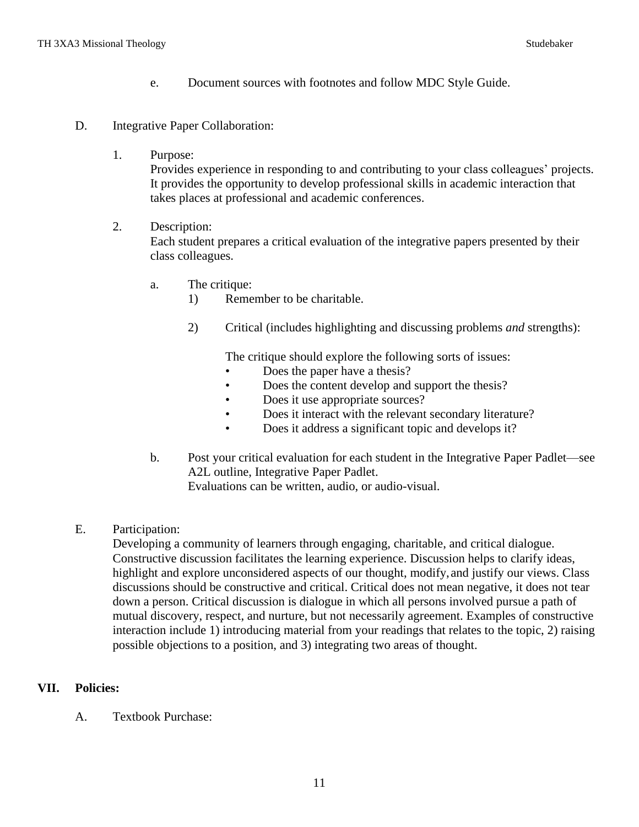- e. Document sources with footnotes and follow MDC Style Guide.
- D. Integrative Paper Collaboration:
	- 1. Purpose:

Provides experience in responding to and contributing to your class colleagues' projects. It provides the opportunity to develop professional skills in academic interaction that takes places at professional and academic conferences.

2. Description:

Each student prepares a critical evaluation of the integrative papers presented by their class colleagues.

- a. The critique:
	- 1) Remember to be charitable.
	- 2) Critical (includes highlighting and discussing problems *and* strengths):

The critique should explore the following sorts of issues:

- Does the paper have a thesis?
- Does the content develop and support the thesis?
- Does it use appropriate sources?
- Does it interact with the relevant secondary literature?
- Does it address a significant topic and develops it?
- b. Post your critical evaluation for each student in the Integrative Paper Padlet—see A2L outline, Integrative Paper Padlet. Evaluations can be written, audio, or audio-visual.
- E. Participation:

Developing a community of learners through engaging, charitable, and critical dialogue. Constructive discussion facilitates the learning experience. Discussion helps to clarify ideas, highlight and explore unconsidered aspects of our thought, modify,and justify our views. Class discussions should be constructive and critical. Critical does not mean negative, it does not tear down a person. Critical discussion is dialogue in which all persons involved pursue a path of mutual discovery, respect, and nurture, but not necessarily agreement. Examples of constructive interaction include 1) introducing material from your readings that relates to the topic, 2) raising possible objections to a position, and 3) integrating two areas of thought.

#### **VII. Policies:**

A. Textbook Purchase: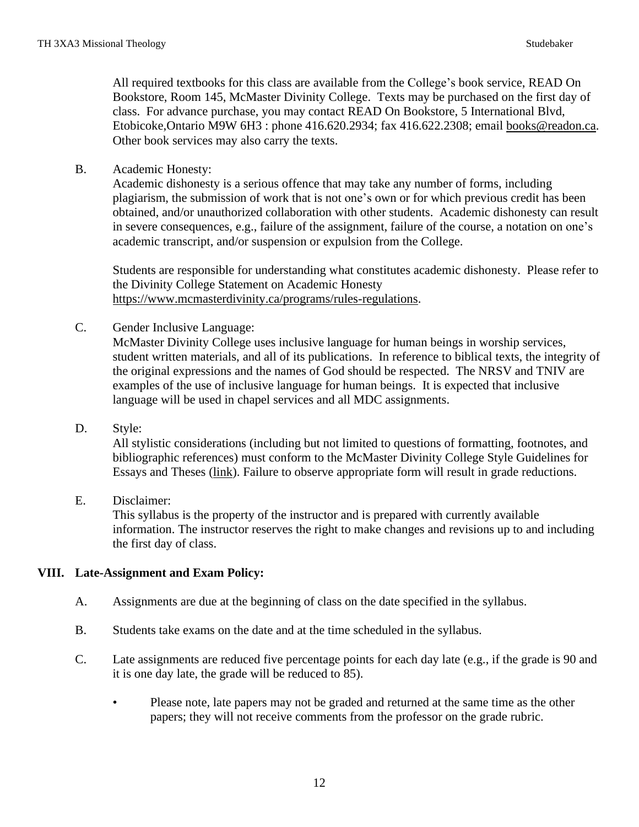All required textbooks for this class are available from the College's book service, READ On Bookstore, Room 145, McMaster Divinity College. Texts may be purchased on the first day of class. For advance purchase, you may contact READ On Bookstore, 5 International Blvd, Etobicoke,Ontario M9W 6H3 : phone 416.620.2934; fax 416.622.2308; email [books@readon.ca.](mailto:books@readon.ca) Other book services may also carry the texts.

B. Academic Honesty:

Academic dishonesty is a serious offence that may take any number of forms, including plagiarism, the submission of work that is not one's own or for which previous credit has been obtained, and/or unauthorized collaboration with other students. Academic dishonesty can result in severe consequences, e.g., failure of the assignment, failure of the course, a notation on one's academic transcript, and/or suspension or expulsion from the College.

Students are responsible for understanding what constitutes academic dishonesty. Please refer to the Divinity College Statement on Academic Honesty [https://www.mcmasterdivinity.ca/programs/rules-regulations.](https://www.mcmasterdivinity.ca/programs/rules-regulations)

C. Gender Inclusive Language:

McMaster Divinity College uses inclusive language for human beings in worship services, student written materials, and all of its publications. In reference to biblical texts, the integrity of the original expressions and the names of God should be respected. The NRSV and TNIV are examples of the use of inclusive language for human beings. It is expected that inclusive language will be used in chapel services and all MDC assignments.

D. Style:

All stylistic considerations (including but not limited to questions of formatting, footnotes, and bibliographic references) must conform to the McMaster Divinity College Style Guidelines for Essays and Theses [\(link\)](https://www.mcmasterdivinity.ca/sites/default/files/documents/mdcstyleguide.pdf). Failure to observe appropriate form will result in grade reductions.

E. Disclaimer:

This syllabus is the property of the instructor and is prepared with currently available information. The instructor reserves the right to make changes and revisions up to and including the first day of class.

### **VIII. Late-Assignment and Exam Policy:**

- A. Assignments are due at the beginning of class on the date specified in the syllabus.
- B. Students take exams on the date and at the time scheduled in the syllabus.
- C. Late assignments are reduced five percentage points for each day late (e.g., if the grade is 90 and it is one day late, the grade will be reduced to 85).
	- Please note, late papers may not be graded and returned at the same time as the other papers; they will not receive comments from the professor on the grade rubric.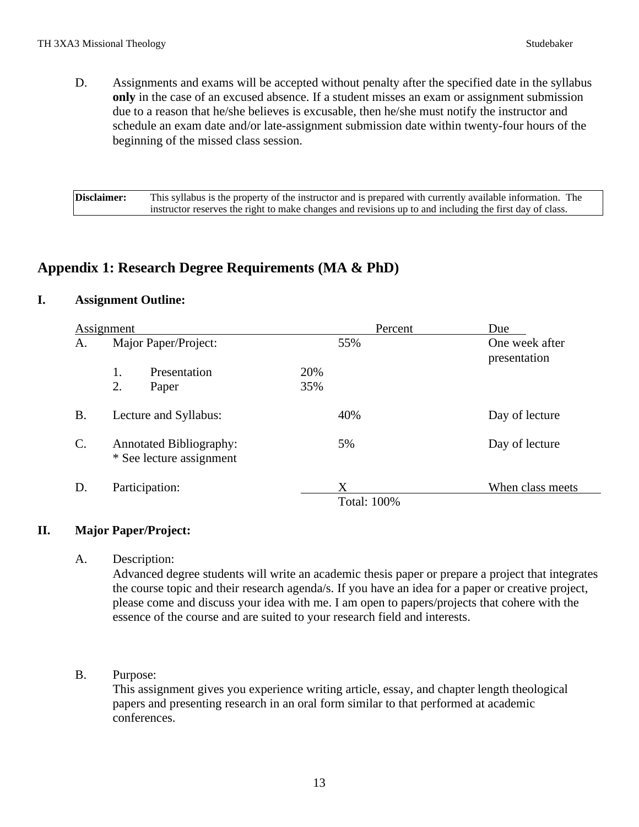D. Assignments and exams will be accepted without penalty after the specified date in the syllabus **only** in the case of an excused absence. If a student misses an exam or assignment submission due to a reason that he/she believes is excusable, then he/she must notify the instructor and schedule an exam date and/or late-assignment submission date within twenty-four hours of the beginning of the missed class session.

**Disclaimer:** This syllabus is the property of the instructor and is prepared with currently available information. The instructor reserves the right to make changes and revisions up to and including the first day of class.

# **Appendix 1: Research Degree Requirements (MA & PhD)**

### **I. Assignment Outline:**

| Assignment      |                                                            |              |     | Percent                 | Due                            |
|-----------------|------------------------------------------------------------|--------------|-----|-------------------------|--------------------------------|
| A.              | Major Paper/Project:                                       |              |     | 55%                     | One week after<br>presentation |
|                 | 1.                                                         | Presentation | 20% |                         |                                |
|                 | 2.                                                         | Paper        | 35% |                         |                                |
| <b>B.</b>       | Lecture and Syllabus:                                      |              |     | 40%                     | Day of lecture                 |
| $\mathcal{C}$ . | <b>Annotated Bibliography:</b><br>* See lecture assignment |              |     | 5%                      | Day of lecture                 |
| D.              | Participation:                                             |              |     | X<br><b>Total: 100%</b> | When class meets               |

### **II. Major Paper/Project:**

A. Description:

Advanced degree students will write an academic thesis paper or prepare a project that integrates the course topic and their research agenda/s. If you have an idea for a paper or creative project, please come and discuss your idea with me. I am open to papers/projects that cohere with the essence of the course and are suited to your research field and interests.

### B. Purpose:

This assignment gives you experience writing article, essay, and chapter length theological papers and presenting research in an oral form similar to that performed at academic conferences.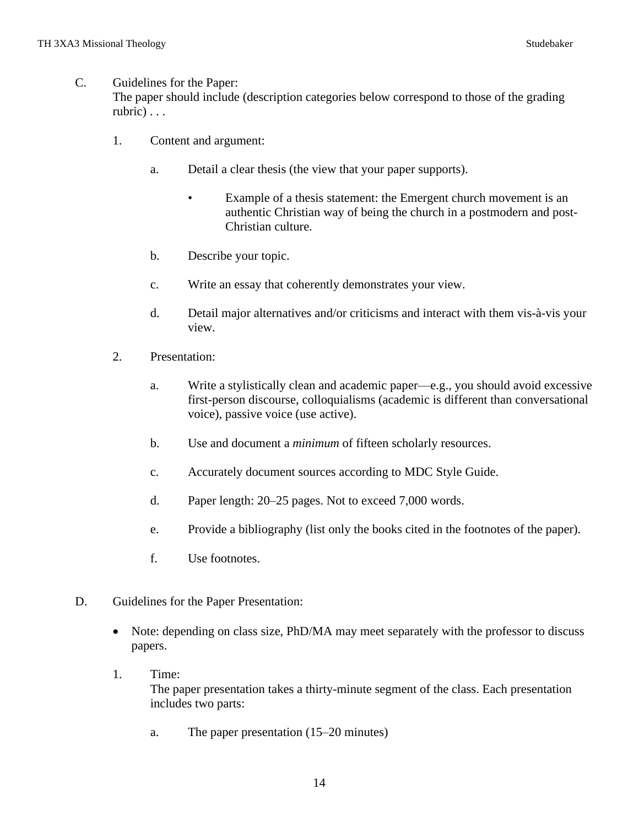#### C. Guidelines for the Paper:

The paper should include (description categories below correspond to those of the grading rubric) . . .

- 1. Content and argument:
	- a. Detail a clear thesis (the view that your paper supports).
		- Example of a thesis statement: the Emergent church movement is an authentic Christian way of being the church in a postmodern and post-Christian culture.
	- b. Describe your topic.
	- c. Write an essay that coherently demonstrates your view.
	- d. Detail major alternatives and/or criticisms and interact with them vis-à-vis your view.
- 2. Presentation:
	- a. Write a stylistically clean and academic paper—e.g., you should avoid excessive first-person discourse, colloquialisms (academic is different than conversational voice), passive voice (use active).
	- b. Use and document a *minimum* of fifteen scholarly resources.
	- c. Accurately document sources according to MDC Style Guide.
	- d. Paper length: 20–25 pages. Not to exceed 7,000 words.
	- e. Provide a bibliography (list only the books cited in the footnotes of the paper).
	- f. Use footnotes.
- D. Guidelines for the Paper Presentation:
	- Note: depending on class size, PhD/MA may meet separately with the professor to discuss papers.
	- 1. Time: The paper presentation takes a thirty-minute segment of the class. Each presentation includes two parts:
		- a. The paper presentation (15–20 minutes)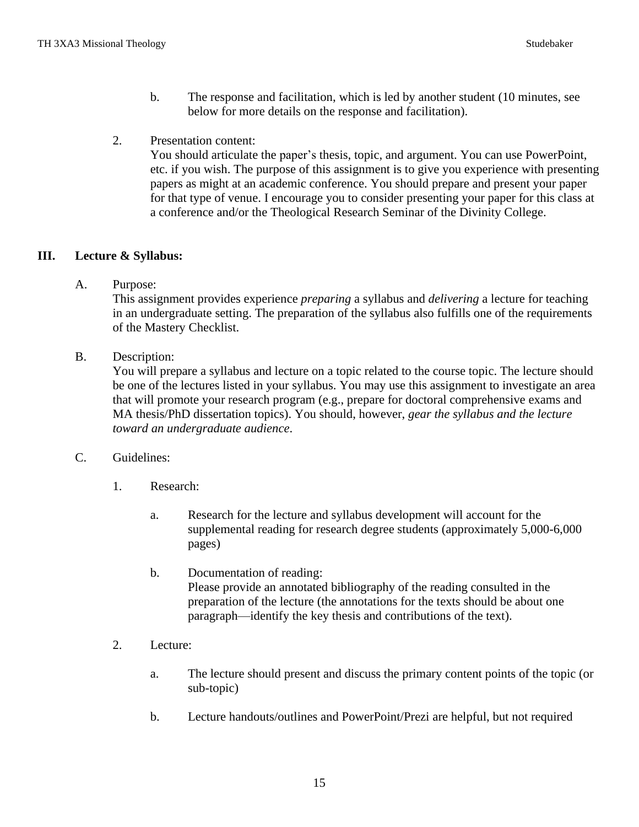- b. The response and facilitation, which is led by another student (10 minutes, see below for more details on the response and facilitation).
- 2. Presentation content:

You should articulate the paper's thesis, topic, and argument. You can use PowerPoint, etc. if you wish. The purpose of this assignment is to give you experience with presenting papers as might at an academic conference. You should prepare and present your paper for that type of venue. I encourage you to consider presenting your paper for this class at a conference and/or the Theological Research Seminar of the Divinity College.

## **III. Lecture & Syllabus:**

A. Purpose:

This assignment provides experience *preparing* a syllabus and *delivering* a lecture for teaching in an undergraduate setting. The preparation of the syllabus also fulfills one of the requirements of the Mastery Checklist.

B. Description:

You will prepare a syllabus and lecture on a topic related to the course topic. The lecture should be one of the lectures listed in your syllabus. You may use this assignment to investigate an area that will promote your research program (e.g., prepare for doctoral comprehensive exams and MA thesis/PhD dissertation topics). You should, however, *gear the syllabus and the lecture toward an undergraduate audience*.

- C. Guidelines:
	- 1. Research:
		- a. Research for the lecture and syllabus development will account for the supplemental reading for research degree students (approximately 5,000-6,000 pages)
		- b. Documentation of reading: Please provide an annotated bibliography of the reading consulted in the preparation of the lecture (the annotations for the texts should be about one paragraph—identify the key thesis and contributions of the text).
	- 2. Lecture:
		- a. The lecture should present and discuss the primary content points of the topic (or sub-topic)
		- b. Lecture handouts/outlines and PowerPoint/Prezi are helpful, but not required